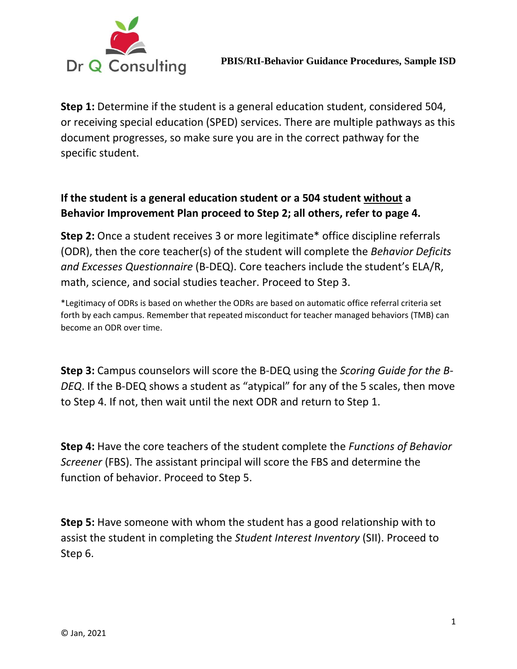

**Step 1:** Determine if the student is a general education student, considered 504, or receiving special education (SPED) services. There are multiple pathways as this document progresses, so make sure you are in the correct pathway for the specific student.

## **If the student is a general education student or a 504 student without a Behavior Improvement Plan proceed to Step 2; all others, refer to page 4.**

**Step 2:** Once a student receives 3 or more legitimate\* office discipline referrals (ODR), then the core teacher(s) of the student will complete the *Behavior Deficits and Excesses Questionnaire* (B-DEQ). Core teachers include the student's ELA/R, math, science, and social studies teacher. Proceed to Step 3.

\*Legitimacy of ODRs is based on whether the ODRs are based on automatic office referral criteria set forth by each campus. Remember that repeated misconduct for teacher managed behaviors (TMB) can become an ODR over time.

**Step 3:** Campus counselors will score the B-DEQ using the *Scoring Guide for the B-DEQ*. If the B-DEQ shows a student as "atypical" for any of the 5 scales, then move to Step 4. If not, then wait until the next ODR and return to Step 1.

**Step 4:** Have the core teachers of the student complete the *Functions of Behavior Screener* (FBS). The assistant principal will score the FBS and determine the function of behavior. Proceed to Step 5.

**Step 5:** Have someone with whom the student has a good relationship with to assist the student in completing the *Student Interest Inventory* (SII). Proceed to Step 6.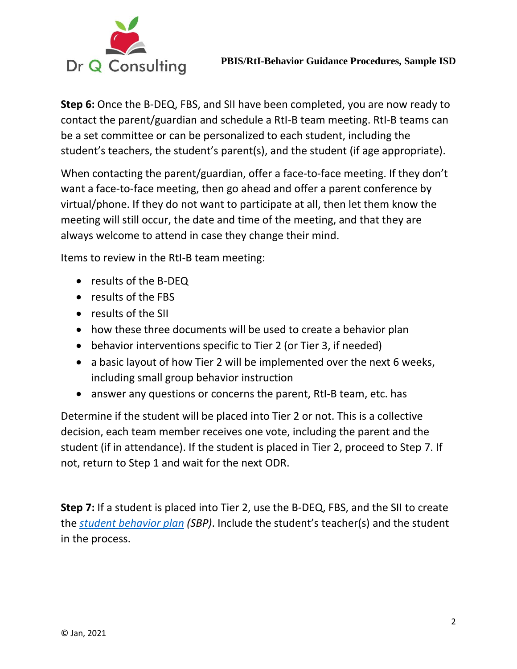

**Step 6:** Once the B-DEQ, FBS, and SII have been completed, you are now ready to contact the parent/guardian and schedule a RtI-B team meeting. RtI-B teams can be a set committee or can be personalized to each student, including the student's teachers, the student's parent(s), and the student (if age appropriate).

When contacting the parent/guardian, offer a face-to-face meeting. If they don't want a face-to-face meeting, then go ahead and offer a parent conference by virtual/phone. If they do not want to participate at all, then let them know the meeting will still occur, the date and time of the meeting, and that they are always welcome to attend in case they change their mind.

Items to review in the RtI-B team meeting:

- results of the B-DEQ
- results of the FBS
- results of the SII
- how these three documents will be used to create a behavior plan
- behavior interventions specific to Tier 2 (or Tier 3, if needed)
- a basic layout of how Tier 2 will be implemented over the next 6 weeks, including small group behavior instruction
- answer any questions or concerns the parent, RtI-B team, etc. has

Determine if the student will be placed into Tier 2 or not. This is a collective decision, each team member receives one vote, including the parent and the student (if in attendance). If the student is placed in Tier 2, proceed to Step 7. If not, return to Step 1 and wait for the next ODR.

**Step 7:** If a student is placed into Tier 2, use the B-DEQ, FBS, and the SII to create the *[student behavior plan](https://drive.google.com/file/d/1iYXNGYsWKA0kc3OBVNSXkq8hWnkNytxi/view?usp=sharing) (SBP)*. Include the student's teacher(s) and the student in the process.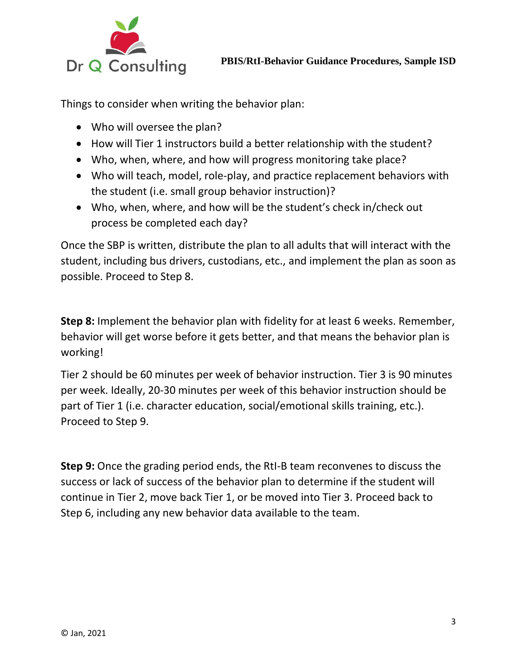

Things to consider when writing the behavior plan:

- Who will oversee the plan?
- How will Tier 1 instructors build a better relationship with the student?
- Who, when, where, and how will progress monitoring take place?
- Who will teach, model, role-play, and practice replacement behaviors with the student (i.e. small group behavior instruction)?
- Who, when, where, and how will be the student's check in/check out process be completed each day?

Once the SBP is written, distribute the plan to all adults that will interact with the student, including bus drivers, custodians, etc., and implement the plan as soon as possible. Proceed to Step 8.

**Step 8:** Implement the behavior plan with fidelity for at least 6 weeks. Remember, behavior will get worse before it gets better, and that means the behavior plan is working!

Tier 2 should be 60 minutes per week of behavior instruction. Tier 3 is 90 minutes per week. Ideally, 20-30 minutes per week of this behavior instruction should be part of Tier 1 (i.e. character education, social/emotional skills training, etc.). Proceed to Step 9.

**Step 9:** Once the grading period ends, the RtI-B team reconvenes to discuss the success or lack of success of the behavior plan to determine if the student will continue in Tier 2, move back Tier 1, or be moved into Tier 3. Proceed back to Step 6, including any new behavior data available to the team.